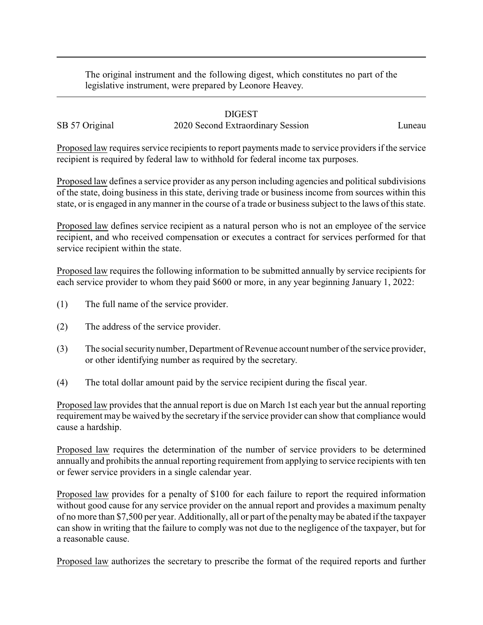The original instrument and the following digest, which constitutes no part of the legislative instrument, were prepared by Leonore Heavey.

## DIGEST

SB 57 Original 2020 Second Extraordinary Session Luneau

Proposed law requires service recipients to report payments made to service providers if the service recipient is required by federal law to withhold for federal income tax purposes.

Proposed law defines a service provider as any person including agencies and political subdivisions of the state, doing business in this state, deriving trade or business income from sources within this state, or is engaged in anymanner in the course of a trade or business subject to the laws of this state.

Proposed law defines service recipient as a natural person who is not an employee of the service recipient, and who received compensation or executes a contract for services performed for that service recipient within the state.

Proposed law requires the following information to be submitted annually by service recipients for each service provider to whom they paid \$600 or more, in any year beginning January 1, 2022:

- (1) The full name of the service provider.
- (2) The address of the service provider.
- (3) The social security number, Department of Revenue account number of the service provider, or other identifying number as required by the secretary.
- (4) The total dollar amount paid by the service recipient during the fiscal year.

Proposed law provides that the annual report is due on March 1st each year but the annual reporting requirement may be waived by the secretary if the service provider can show that compliance would cause a hardship.

Proposed law requires the determination of the number of service providers to be determined annually and prohibits the annual reporting requirement from applying to service recipients with ten or fewer service providers in a single calendar year.

Proposed law provides for a penalty of \$100 for each failure to report the required information without good cause for any service provider on the annual report and provides a maximum penalty of no more than \$7,500 per year. Additionally, all or part of the penaltymay be abated if the taxpayer can show in writing that the failure to comply was not due to the negligence of the taxpayer, but for a reasonable cause.

Proposed law authorizes the secretary to prescribe the format of the required reports and further